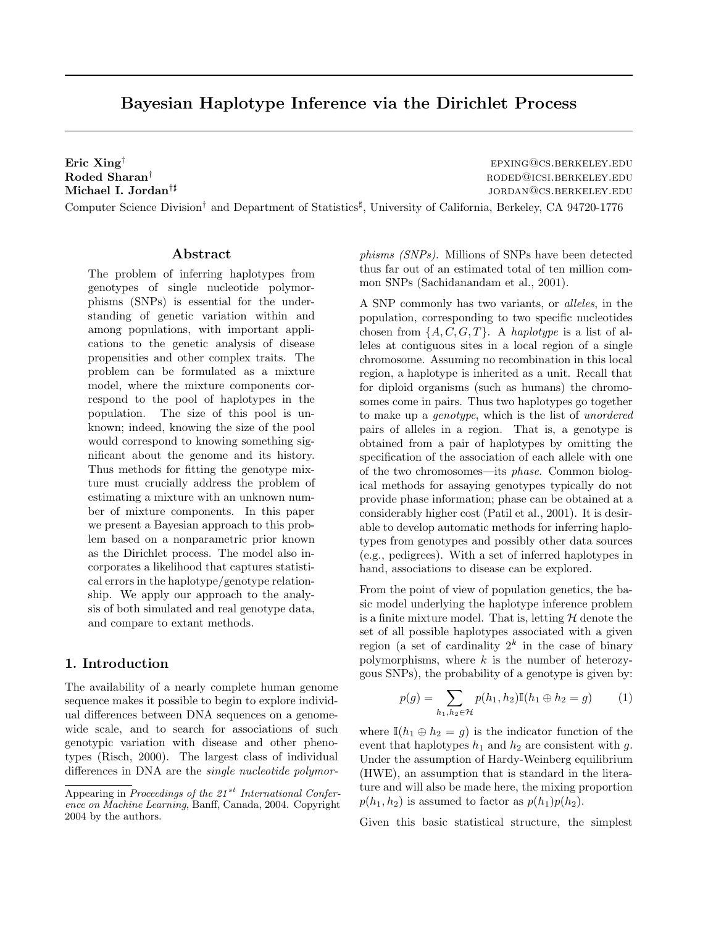# Bayesian Haplotype Inference via the Dirichlet Process

Michael I. Jordan<sup>†#</sup>

**Eric Xing**<sup>†</sup> epidemic states and the example of the example  $\mathbf{E}\mathbf{P}\mathbf{X}\mathbf{I}\mathbf{N}\mathbf{G}\mathbf{Q}\mathbf{C}\mathbf{S}.\mathbf{BERKELE}\mathbf{Y}.\mathbf{E}\mathbf{D}\mathbf{U}$  $\mathbf{R}$ oded  $\mathbf{Sharan}^\dagger$  roded  $\mathbf{R}$ jordan@cs.berkeley.edu

Computer Science Division<sup>†</sup> and Department of Statistics<sup>#</sup>, University of California, Berkeley, CA 94720-1776

## Abstract

The problem of inferring haplotypes from genotypes of single nucleotide polymorphisms (SNPs) is essential for the understanding of genetic variation within and among populations, with important applications to the genetic analysis of disease propensities and other complex traits. The problem can be formulated as a mixture model, where the mixture components correspond to the pool of haplotypes in the population. The size of this pool is unknown; indeed, knowing the size of the pool would correspond to knowing something significant about the genome and its history. Thus methods for fitting the genotype mixture must crucially address the problem of estimating a mixture with an unknown number of mixture components. In this paper we present a Bayesian approach to this problem based on a nonparametric prior known as the Dirichlet process. The model also incorporates a likelihood that captures statistical errors in the haplotype/genotype relationship. We apply our approach to the analysis of both simulated and real genotype data, and compare to extant methods.

## 1. Introduction

The availability of a nearly complete human genome sequence makes it possible to begin to explore individual differences between DNA sequences on a genomewide scale, and to search for associations of such genotypic variation with disease and other phenotypes (Risch, 2000). The largest class of individual differences in DNA are the single nucleotide polymorphisms (SNPs). Millions of SNPs have been detected thus far out of an estimated total of ten million common SNPs (Sachidanandam et al., 2001).

A SNP commonly has two variants, or alleles, in the population, corresponding to two specific nucleotides chosen from  $\{A, C, G, T\}$ . A *haplotype* is a list of alleles at contiguous sites in a local region of a single chromosome. Assuming no recombination in this local region, a haplotype is inherited as a unit. Recall that for diploid organisms (such as humans) the chromosomes come in pairs. Thus two haplotypes go together to make up a genotype, which is the list of unordered pairs of alleles in a region. That is, a genotype is obtained from a pair of haplotypes by omitting the specification of the association of each allele with one of the two chromosomes—its phase. Common biological methods for assaying genotypes typically do not provide phase information; phase can be obtained at a considerably higher cost (Patil et al., 2001). It is desirable to develop automatic methods for inferring haplotypes from genotypes and possibly other data sources (e.g., pedigrees). With a set of inferred haplotypes in hand, associations to disease can be explored.

From the point of view of population genetics, the basic model underlying the haplotype inference problem is a finite mixture model. That is, letting  $H$  denote the set of all possible haplotypes associated with a given region (a set of cardinality  $2^k$  in the case of binary polymorphisms, where  $k$  is the number of heterozygous SNPs), the probability of a genotype is given by:

$$
p(g) = \sum_{h_1, h_2 \in \mathcal{H}} p(h_1, h_2) \mathbb{I}(h_1 \oplus h_2 = g)
$$
 (1)

where  $\mathbb{I}(h_1 \oplus h_2 = g)$  is the indicator function of the event that haplotypes  $h_1$  and  $h_2$  are consistent with g. Under the assumption of Hardy-Weinberg equilibrium (HWE), an assumption that is standard in the literature and will also be made here, the mixing proportion  $p(h_1, h_2)$  is assumed to factor as  $p(h_1)p(h_2)$ .

Given this basic statistical structure, the simplest

Appearing in Proceedings of the  $21^{st}$  International Conference on Machine Learning, Banff, Canada, 2004. Copyright 2004 by the authors.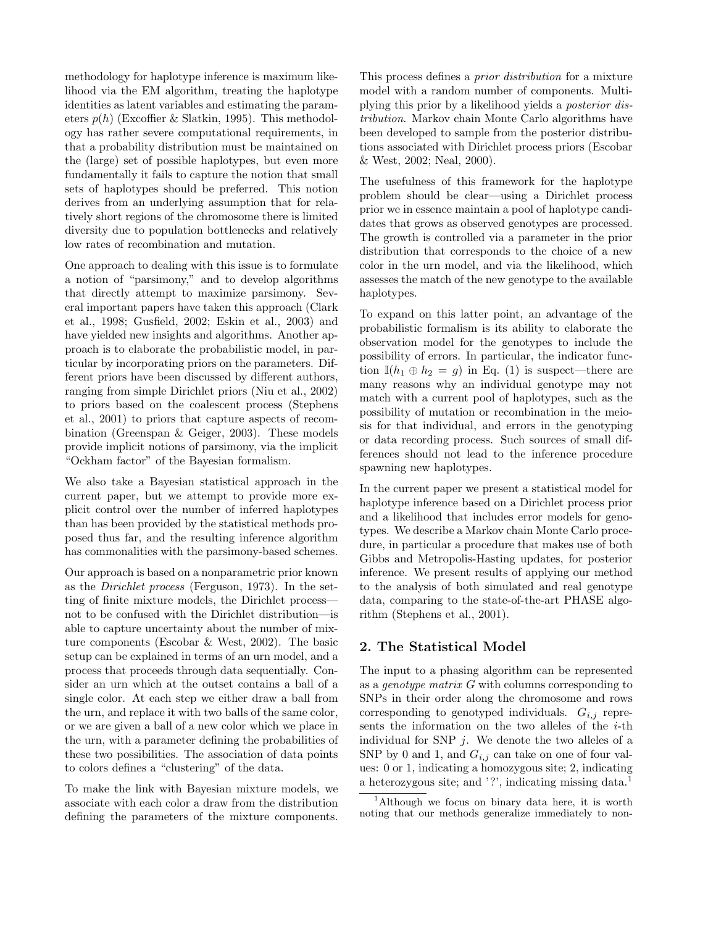methodology for haplotype inference is maximum likelihood via the EM algorithm, treating the haplotype identities as latent variables and estimating the parameters  $p(h)$  (Excoffier & Slatkin, 1995). This methodology has rather severe computational requirements, in that a probability distribution must be maintained on the (large) set of possible haplotypes, but even more fundamentally it fails to capture the notion that small sets of haplotypes should be preferred. This notion derives from an underlying assumption that for relatively short regions of the chromosome there is limited diversity due to population bottlenecks and relatively low rates of recombination and mutation.

One approach to dealing with this issue is to formulate a notion of "parsimony," and to develop algorithms that directly attempt to maximize parsimony. Several important papers have taken this approach (Clark et al., 1998; Gusfield, 2002; Eskin et al., 2003) and have yielded new insights and algorithms. Another approach is to elaborate the probabilistic model, in particular by incorporating priors on the parameters. Different priors have been discussed by different authors, ranging from simple Dirichlet priors (Niu et al., 2002) to priors based on the coalescent process (Stephens et al., 2001) to priors that capture aspects of recombination (Greenspan & Geiger, 2003). These models provide implicit notions of parsimony, via the implicit "Ockham factor" of the Bayesian formalism.

We also take a Bayesian statistical approach in the current paper, but we attempt to provide more explicit control over the number of inferred haplotypes than has been provided by the statistical methods proposed thus far, and the resulting inference algorithm has commonalities with the parsimony-based schemes.

Our approach is based on a nonparametric prior known as the Dirichlet process (Ferguson, 1973). In the setting of finite mixture models, the Dirichlet process not to be confused with the Dirichlet distribution—is able to capture uncertainty about the number of mixture components (Escobar & West, 2002). The basic setup can be explained in terms of an urn model, and a process that proceeds through data sequentially. Consider an urn which at the outset contains a ball of a single color. At each step we either draw a ball from the urn, and replace it with two balls of the same color, or we are given a ball of a new color which we place in the urn, with a parameter defining the probabilities of these two possibilities. The association of data points to colors defines a "clustering" of the data.

To make the link with Bayesian mixture models, we associate with each color a draw from the distribution defining the parameters of the mixture components. This process defines a prior distribution for a mixture model with a random number of components. Multiplying this prior by a likelihood yields a posterior distribution. Markov chain Monte Carlo algorithms have been developed to sample from the posterior distributions associated with Dirichlet process priors (Escobar & West, 2002; Neal, 2000).

The usefulness of this framework for the haplotype problem should be clear—using a Dirichlet process prior we in essence maintain a pool of haplotype candidates that grows as observed genotypes are processed. The growth is controlled via a parameter in the prior distribution that corresponds to the choice of a new color in the urn model, and via the likelihood, which assesses the match of the new genotype to the available haplotypes.

To expand on this latter point, an advantage of the probabilistic formalism is its ability to elaborate the observation model for the genotypes to include the possibility of errors. In particular, the indicator function  $\mathbb{I}(h_1 \oplus h_2 = g)$  in Eq. (1) is suspect—there are many reasons why an individual genotype may not match with a current pool of haplotypes, such as the possibility of mutation or recombination in the meiosis for that individual, and errors in the genotyping or data recording process. Such sources of small differences should not lead to the inference procedure spawning new haplotypes.

In the current paper we present a statistical model for haplotype inference based on a Dirichlet process prior and a likelihood that includes error models for genotypes. We describe a Markov chain Monte Carlo procedure, in particular a procedure that makes use of both Gibbs and Metropolis-Hasting updates, for posterior inference. We present results of applying our method to the analysis of both simulated and real genotype data, comparing to the state-of-the-art PHASE algorithm (Stephens et al., 2001).

# 2. The Statistical Model

The input to a phasing algorithm can be represented as a *genotype matrix G* with columns corresponding to SNPs in their order along the chromosome and rows corresponding to genotyped individuals.  $G_{i,j}$  represents the information on the two alleles of the  $i$ -th individual for SNP  $j$ . We denote the two alleles of a SNP by 0 and 1, and  $G_{i,j}$  can take on one of four values: 0 or 1, indicating a homozygous site; 2, indicating a heterozygous site; and '?', indicating missing data.<sup>1</sup>

<sup>&</sup>lt;sup>1</sup>Although we focus on binary data here, it is worth noting that our methods generalize immediately to non-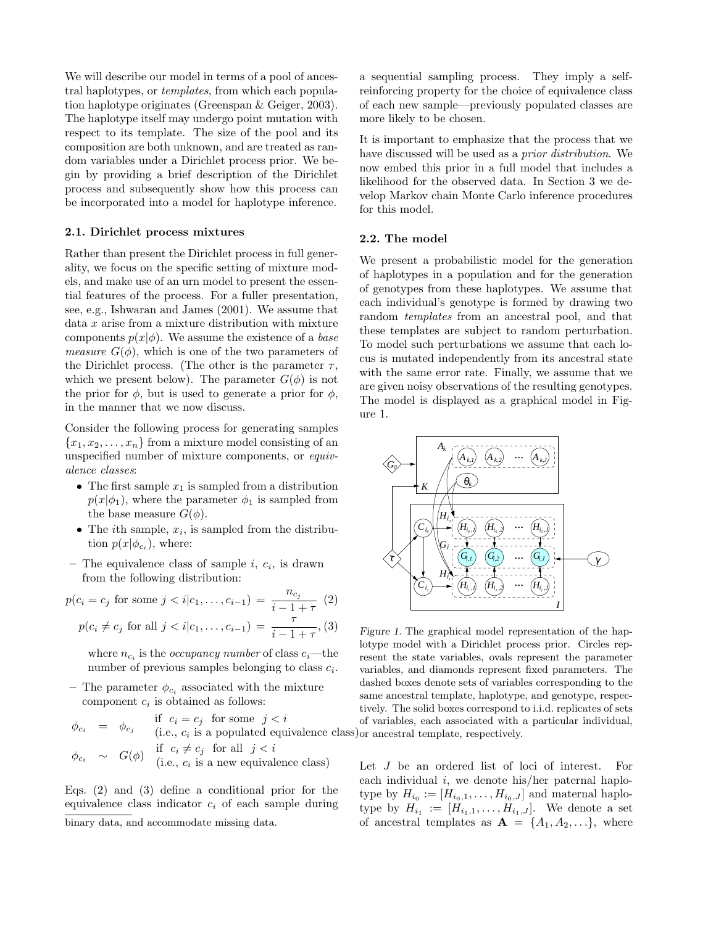We will describe our model in terms of a pool of ancestral haplotypes, or templates, from which each population haplotype originates (Greenspan & Geiger, 2003). The haplotype itself may undergo point mutation with respect to its template. The size of the pool and its composition are both unknown, and are treated as random variables under a Dirichlet process prior. We begin by providing a brief description of the Dirichlet process and subsequently show how this process can be incorporated into a model for haplotype inference.

#### 2.1. Dirichlet process mixtures

Rather than present the Dirichlet process in full generality, we focus on the specific setting of mixture models, and make use of an urn model to present the essential features of the process. For a fuller presentation, see, e.g., Ishwaran and James (2001). We assume that data x arise from a mixture distribution with mixture components  $p(x|\phi)$ . We assume the existence of a base *measure*  $G(\phi)$ , which is one of the two parameters of the Dirichlet process. (The other is the parameter  $\tau$ , which we present below). The parameter  $G(\phi)$  is not the prior for  $\phi$ , but is used to generate a prior for  $\phi$ , in the manner that we now discuss.

Consider the following process for generating samples  ${x_1, x_2, \ldots, x_n}$  from a mixture model consisting of an unspecified number of mixture components, or equivalence classes:

- The first sample  $x_1$  is sampled from a distribution  $p(x|\phi_1)$ , where the parameter  $\phi_1$  is sampled from the base measure  $G(\phi)$ .
- The *i*th sample,  $x_i$ , is sampled from the distribution  $p(x|\phi_{c_i})$ , where:
- $-$  The equivalence class of sample *i*,  $c_i$ , is drawn from the following distribution:

$$
p(c_i = c_j \text{ for some } j < i | c_1, \dots, c_{i-1}) = \frac{n_{c_j}}{i - 1 + \tau} \tag{2}
$$
\n
$$
p(c_i \neq c_j \text{ for all } j < i | c_1, \dots, c_{i-1}) = \frac{\tau}{i - 1 + \tau},
$$
\n(3)

where  $n_{c_i}$  is the *occupancy number* of class  $c_i$ —the number of previous samples belonging to class  $c_i$ .

– The parameter  $\phi_{c_i}$  associated with the mixture component  $c_i$  is obtained as follows:

$$
\begin{array}{rcl}\n\phi_{c_i} & = & \phi_{c_j} & \text{if } c_i = c_j \text{ for some } j < i \\
& \text{(i.e., } c_i \text{ is a populated equivalence class)} \\
\phi_{c_i} & \sim & G(\phi) & \text{if } c_i \neq c_j \text{ for all } j < i \\
& \text{(i.e., } c_i \text{ is a new equivalence class)} & \text{if } c_i \neq c_j \text{ for all } j < i\n\end{array}
$$

Eqs. (2) and (3) define a conditional prior for the equivalence class indicator  $c_i$  of each sample during a sequential sampling process. They imply a selfreinforcing property for the choice of equivalence class of each new sample—previously populated classes are more likely to be chosen.

It is important to emphasize that the process that we have discussed will be used as a prior distribution. We now embed this prior in a full model that includes a likelihood for the observed data. In Section 3 we develop Markov chain Monte Carlo inference procedures for this model.

#### 2.2. The model

We present a probabilistic model for the generation of haplotypes in a population and for the generation of genotypes from these haplotypes. We assume that each individual's genotype is formed by drawing two random templates from an ancestral pool, and that these templates are subject to random perturbation. To model such perturbations we assume that each locus is mutated independently from its ancestral state with the same error rate. Finally, we assume that we are given noisy observations of the resulting genotypes. The model is displayed as a graphical model in Figure 1.



Figure 1. The graphical model representation of the haplotype model with a Dirichlet process prior. Circles represent the state variables, ovals represent the parameter variables, and diamonds represent fixed parameters. The dashed boxes denote sets of variables corresponding to the same ancestral template, haplotype, and genotype, respectively. The solid boxes correspond to i.i.d. replicates of sets of variables, each associated with a particular individual, or ancestral template, respectively.

Let J be an ordered list of loci of interest. For each individual  $i$ , we denote his/her paternal haplotype by  $H_{i_0} := [H_{i_0,1}, \ldots, H_{i_0,J}]$  and maternal haplotype by  $H_{i_1} := [H_{i_1,1}, \ldots, H_{i_1,J}]$ . We denote a set of ancestral templates as  $\mathbf{A} = \{A_1, A_2, \ldots\}$ , where

binary data, and accommodate missing data.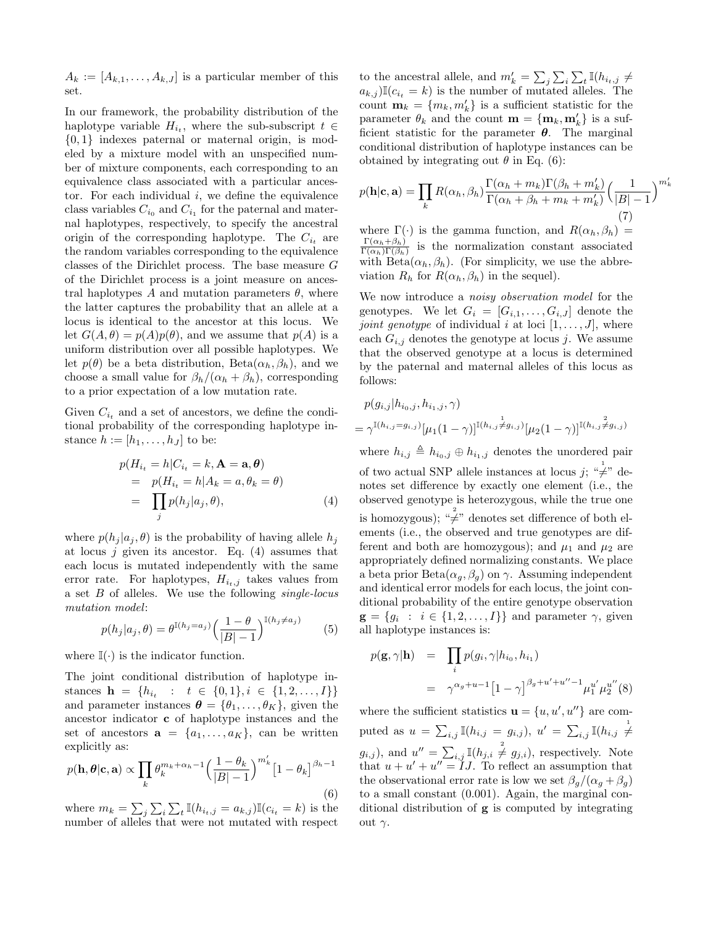$A_k := [A_{k,1}, \ldots, A_{k,J}]$  is a particular member of this set.

In our framework, the probability distribution of the haplotype variable  $H_{i_t}$ , where the sub-subscript  $t \in$  ${0,1}$  indexes paternal or maternal origin, is modeled by a mixture model with an unspecified number of mixture components, each corresponding to an equivalence class associated with a particular ancestor. For each individual  $i$ , we define the equivalence class variables  $C_{i_0}$  and  $C_{i_1}$  for the paternal and maternal haplotypes, respectively, to specify the ancestral origin of the corresponding haplotype. The  $C_{i_t}$  are the random variables corresponding to the equivalence classes of the Dirichlet process. The base measure G of the Dirichlet process is a joint measure on ancestral haplotypes A and mutation parameters  $\theta$ , where the latter captures the probability that an allele at a locus is identical to the ancestor at this locus. We let  $G(A, \theta) = p(A)p(\theta)$ , and we assume that  $p(A)$  is a uniform distribution over all possible haplotypes. We let  $p(\theta)$  be a beta distribution, Beta $(\alpha_h, \beta_h)$ , and we choose a small value for  $\beta_h/(\alpha_h + \beta_h)$ , corresponding to a prior expectation of a low mutation rate.

Given  $C_{i_t}$  and a set of ancestors, we define the conditional probability of the corresponding haplotype instance  $h := [h_1, \ldots, h_J]$  to be:

$$
p(H_{i_t} = h | C_{i_t} = k, \mathbf{A} = \mathbf{a}, \boldsymbol{\theta})
$$
  
=  $p(H_{i_t} = h | A_k = a, \theta_k = \theta)$   
=  $\prod_j p(h_j | a_j, \theta),$  (4)

where  $p(h_i | a_i, \theta)$  is the probability of having allele  $h_i$ at locus  $j$  given its ancestor. Eq. (4) assumes that each locus is mutated independently with the same error rate. For haplotypes,  $H_{i_t,j}$  takes values from a set  $B$  of alleles. We use the following single-locus mutation model:

$$
p(h_j|a_j, \theta) = \theta^{\mathbb{I}(h_j = a_j)} \left(\frac{1-\theta}{|B|-1}\right)^{\mathbb{I}(h_j \neq a_j)} \tag{5}
$$

where  $\mathbb{I}(\cdot)$  is the indicator function.

The joint conditional distribution of haplotype instances  $\mathbf{h} = \{h_{i_t} : t \in \{0,1\}, i \in \{1,2,\ldots,I\}\}\$ and parameter instances  $\boldsymbol{\theta} = {\theta_1, \ldots, \theta_K}$ , given the ancestor indicator c of haplotype instances and the set of ancestors  $\mathbf{a} = \{a_1, \ldots, a_K\}$ , can be written explicitly as:

$$
p(\mathbf{h}, \theta | \mathbf{c}, \mathbf{a}) \propto \prod_{k} \theta_k^{m_k + \alpha_h - 1} \left(\frac{1 - \theta_k}{|B| - 1}\right)^{m'_k} \left[1 - \theta_k\right]^{\beta_h - 1}
$$
\n(6)

where  $m_k = \sum_j \sum_i \sum_t \mathbb{I}(h_{i_t,j} = a_{k,j}) \mathbb{I}(c_{i_t} = k)$  is the number of alleles that were not mutated with respect

to the ancestral allele, and  $m'_k = \sum_j \sum_i \sum_t \mathbb{I}(h_{i_t,j} \neq$  $a_{k,i}$ )I( $c_{i,t} = k$ ) is the number of mutated alleles. The count  $\mathbf{m}_k = \{m_k, m'_k\}$  is a sufficient statistic for the parameter  $\theta_k$  and the count  $\mathbf{m} = {\{ \mathbf{m}_k, \mathbf{m}'_k \}}$  is a sufficient statistic for the parameter  $\theta$ . The marginal conditional distribution of haplotype instances can be obtained by integrating out  $\theta$  in Eq. (6):

$$
p(\mathbf{h}|\mathbf{c}, \mathbf{a}) = \prod_{k} R(\alpha_h, \beta_h) \frac{\Gamma(\alpha_h + m_k)\Gamma(\beta_h + m'_k)}{\Gamma(\alpha_h + \beta_h + m_k + m'_k)} \left(\frac{1}{|B| - 1}\right)^{m'_k}
$$
\n(7)

where  $\Gamma(\cdot)$  is the gamma function, and  $R(\alpha_h, \beta_h) =$  $\Gamma(\alpha_h+\beta_h)$  $\frac{\Gamma(\alpha_h+p_h)}{\Gamma(\alpha_h)\Gamma(\beta_h)}$  is the normalization constant associated with  $Beta(\alpha_h, \beta_h)$ . (For simplicity, we use the abbreviation  $R_h$  for  $R(\alpha_h, \beta_h)$  in the sequel).

We now introduce a *noisy observation model* for the genotypes. We let  $G_i = [G_{i,1}, \ldots, G_{i,J}]$  denote the joint genotype of individual i at loci  $[1, \ldots, J]$ , where each  $G_{i,j}$  denotes the genotype at locus j. We assume that the observed genotype at a locus is determined by the paternal and maternal alleles of this locus as follows:

$$
p(g_{i,j}|h_{i_0,j}, h_{i_1,j}, \gamma)
$$
  
=  $\gamma^{\mathbb{I}(h_{i,j}=g_{i,j})}[\mu_1(1-\gamma)]^{\mathbb{I}(h_{i,j}\neq g_{i,j})}[\mu_2(1-\gamma)]^{\mathbb{I}(h_{i,j}\neq g_{i,j})}$ 

where  $h_{i,j} \triangleq h_{i_0,j} \oplus h_{i_1,j}$  denotes the unordered pair of two actual SNP allele instances at locus j; " $\neq$ " denotes set difference by exactly one element (i.e., the observed genotype is heterozygous, while the true one is homozygous);  $\overrightarrow{f}$  denotes set difference of both elements (i.e., the observed and true genotypes are different and both are homozygous); and  $\mu_1$  and  $\mu_2$  are appropriately defined normalizing constants. We place a beta prior Beta $(\alpha_g, \beta_g)$  on  $\gamma$ . Assuming independent and identical error models for each locus, the joint conditional probability of the entire genotype observation  $\mathbf{g} = \{g_i : i \in \{1, 2, \dots, I\}\}\$ and parameter  $\gamma$ , given all haplotype instances is:

$$
p(\mathbf{g}, \gamma | \mathbf{h}) = \prod_{i} p(g_i, \gamma | h_{i_0}, h_{i_1})
$$
  
=  $\gamma^{\alpha_g + u - 1} [1 - \gamma]^{\beta_g + u' + u'' - 1} \mu_1^{u'} \mu_2^{u''}(8)$ 

where the sufficient statistics  $\mathbf{u} = \{u, u', u''\}$  are computed as  $u = \sum_{i,j} \mathbb{I}(h_{i,j} = g_{i,j}), u' = \sum_{i,j} \mathbb{I}(h_{i,j} \neq$  $g_{i,j}$ ), and  $u'' = \sum_{i,j} \mathbb{I}(h_{j,i} \neq g_{j,i})$ , respectively. Note that  $u + u' + u'' = IJ$ . To reflect an assumption that the observational error rate is low we set  $\beta_g/(\alpha_g + \beta_g)$ to a small constant (0.001). Again, the marginal conditional distribution of g is computed by integrating out  $γ$ .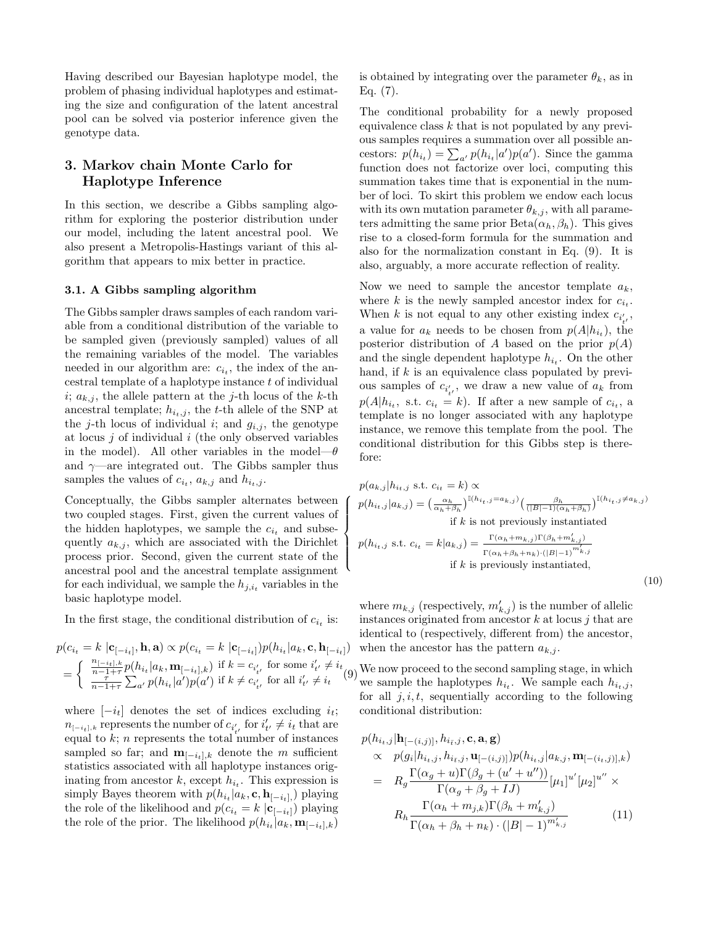Having described our Bayesian haplotype model, the problem of phasing individual haplotypes and estimating the size and configuration of the latent ancestral pool can be solved via posterior inference given the genotype data.

# 3. Markov chain Monte Carlo for Haplotype Inference

In this section, we describe a Gibbs sampling algorithm for exploring the posterior distribution under our model, including the latent ancestral pool. We also present a Metropolis-Hastings variant of this algorithm that appears to mix better in practice.

#### 3.1. A Gibbs sampling algorithm

The Gibbs sampler draws samples of each random variable from a conditional distribution of the variable to be sampled given (previously sampled) values of all the remaining variables of the model. The variables needed in our algorithm are:  $c_{i_t}$ , the index of the ancestral template of a haplotype instance  $t$  of individual i;  $a_{k,j}$ , the allele pattern at the j-th locus of the k-th ancestral template;  $h_{i_t,j}$ , the t-th allele of the SNP at the j-th locus of individual i; and  $g_{i,j}$ , the genotype at locus  $j$  of individual  $i$  (the only observed variables in the model). All other variables in the model— $\theta$ and  $\gamma$ —are integrated out. The Gibbs sampler thus samples the values of  $c_{i_t}$ ,  $a_{k,j}$  and  $h_{i_t,j}$ .

Conceptually, the Gibbs sampler alternates between two coupled stages. First, given the current values of the hidden haplotypes, we sample the  $c_{i_t}$  and subsequently  $a_{k,j}$ , which are associated with the Dirichlet process prior. Second, given the current state of the ancestral pool and the ancestral template assignment for each individual, we sample the  $h_{i,i_t}$  variables in the basic haplotype model.

 $\sqrt{ }$  $\int$ 

 $\overline{\mathcal{L}}$ 

In the first stage, the conditional distribution of  $c_{i_t}$  is:

$$
p(c_{i_t} = k \left| \mathbf{c}_{[-i_t]}, \mathbf{h}, \mathbf{a} \right) \propto p(c_{i_t} = k \left| \mathbf{c}_{[-i_t]}\right) p(h_{i_t}|a_k, \mathbf{c}, \mathbf{h}_{[-i_t]})
$$
  
= 
$$
\begin{cases} \frac{n_{[-i_t],k}}{n-1+\tau} p(h_{i_t}|a_k, \mathbf{m}_{[-i_t],k}) & \text{if } k = c_{i'_{t'}} \text{ for some } i'_{t'} \neq i_t\\ \frac{1}{n-1+\tau} \sum_{a'} p(h_{i_t}|a') p(a') & \text{if } k \neq c_{i'_{t'}} \text{ for all } i'_{t'} \neq i_t \end{cases} (
$$

where  $[-i_t]$  denotes the set of indices excluding  $i_t$ ;  $n_{[-i_t],k}$  represents the number of  $c_{i'_{t'}}$  for  $i'_{t'} \neq i_t$  that are equal to  $k$ ; n represents the total number of instances sampled so far; and  $\mathbf{m}_{[-i_t],k}$  denote the m sufficient statistics associated with all haplotype instances originating from ancestor  $k$ , except  $h_{i_t}$ . This expression is simply Bayes theorem with  $p(h_{i_t}|a_k, \mathbf{c}, \mathbf{h}_{[-i_t]},)$  playing the role of the likelihood and  $p(c_{i_t} = k | c_{[-i_t]})$  playing the role of the prior. The likelihood  $p(h_{i_t}|a_k, \mathbf{m}_{[-i_t],k})$  is obtained by integrating over the parameter  $\theta_k$ , as in Eq. (7).

The conditional probability for a newly proposed equivalence class  $k$  that is not populated by any previous samples requires a summation over all possible ancestors:  $p(h_{i_t}) = \sum_{a'} p(h_{i_t}|a')p(a')$ . Since the gamma function does not factorize over loci, computing this summation takes time that is exponential in the number of loci. To skirt this problem we endow each locus with its own mutation parameter  $\theta_{k,j}$ , with all parameters admitting the same prior  $Beta(\alpha_h, \beta_h)$ . This gives rise to a closed-form formula for the summation and also for the normalization constant in Eq. (9). It is also, arguably, a more accurate reflection of reality.

Now we need to sample the ancestor template  $a_k$ , where k is the newly sampled ancestor index for  $c_{i_t}$ . When k is not equal to any other existing index  $c_{i'_{t'}}$ , a value for  $a_k$  needs to be chosen from  $p(A|h_{i_t})$ , the posterior distribution of A based on the prior  $p(A)$ and the single dependent haplotype  $h_{i_t}$ . On the other hand, if  $k$  is an equivalence class populated by previous samples of  $c_{i'_{t'}}$ , we draw a new value of  $a_k$  from  $p(A|h_{i_t}, \text{ s.t. } c_{i_t} = k)$ . If after a new sample of  $c_{i_t}$ , a template is no longer associated with any haplotype instance, we remove this template from the pool. The conditional distribution for this Gibbs step is therefore:

$$
p(a_{k,j}|h_{i_t,j} \text{ s.t. } c_{i_t} = k) \propto
$$
  
\n
$$
p(h_{i_t,j}|a_{k,j}) = \left(\frac{\alpha_h}{\alpha_h + \beta_h}\right)^{\mathbb{I}(h_{i_t,j} = a_{k,j})} \left(\frac{\beta_h}{(|B|-1)(\alpha_h + \beta_h)}\right)^{\mathbb{I}(h_{i_t,j} \neq a_{k,j})}
$$
  
\nif  $k$  is not previously instantiated  
\n
$$
p(h_{i_t,j} \text{ s.t. } c_{i_t} = k|a_{k,j}) = \frac{\Gamma(\alpha_h + m_{k,j})\Gamma(\beta_h + m'_{k,j})}{\Gamma(\alpha_h + \beta_h + n_k) \cdot (|B|-1)^{m'_{k,j}}}
$$
  
\nif  $k$  is previously instantiated, (10)

where  $m_{k,j}$  (respectively,  $m'_{k,j}$ ) is the number of allelic instances originated from ancestor  $k$  at locus  $j$  that are identical to (respectively, different from) the ancestor, when the ancestor has the pattern  $a_{k,j}$ .

 $(9)$  We now proceed to the second sampling stage, in which we sample the haplotypes  $h_{i_t}$ . We sample each  $h_{i_t,j}$ , for all  $i, i, t$ , sequentially according to the following conditional distribution:

$$
p(h_{i_t,j}|\mathbf{h}_{[-(i,j)]}, h_{i_{\bar{t}},j}, \mathbf{c}, \mathbf{a}, \mathbf{g})
$$
  
\n
$$
\propto p(g_i|h_{i_t,j}, h_{i_t,j}, \mathbf{u}_{[-(i,j)]})p(h_{i_t,j}|a_{k,j}, \mathbf{m}_{[-(i_t,j)],k})
$$
  
\n
$$
= R_g \frac{\Gamma(\alpha_g + u)\Gamma(\beta_g + (u' + u''))}{\Gamma(\alpha_g + \beta_g + IJ)} [\mu_1]^{u'} [\mu_2]^{u''} \times
$$
  
\n
$$
R_h \frac{\Gamma(\alpha_h + m_{j,k})\Gamma(\beta_h + m'_{k,j})}{\Gamma(\alpha_h + \beta_h + n_k) \cdot (|B| - 1)^{m'_{k,j}}}
$$
(11)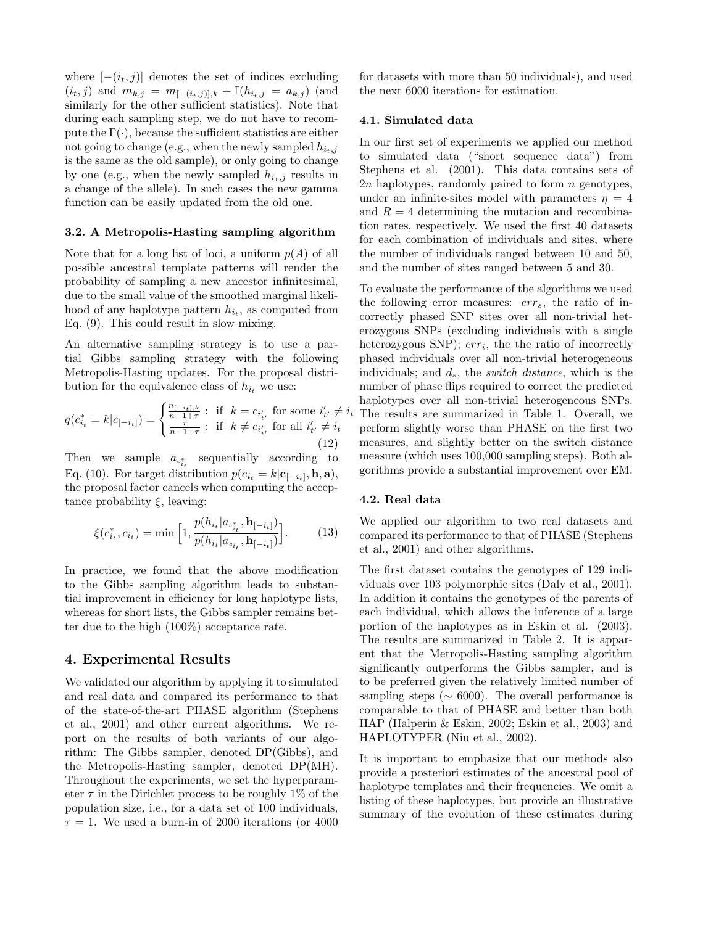where  $[-(i_t, j)]$  denotes the set of indices excluding  $(i_t, j)$  and  $m_{k,j} = m_{[-(i_t, j)], k} + \mathbb{I}(h_{i_t, j} = a_{k,j})$  (and similarly for the other sufficient statistics). Note that during each sampling step, we do not have to recompute the  $\Gamma(\cdot)$ , because the sufficient statistics are either not going to change (e.g., when the newly sampled  $h_{i_t,j}$ ) is the same as the old sample), or only going to change by one (e.g., when the newly sampled  $h_{i_1,j}$  results in a change of the allele). In such cases the new gamma function can be easily updated from the old one.

## 3.2. A Metropolis-Hasting sampling algorithm

Note that for a long list of loci, a uniform  $p(A)$  of all possible ancestral template patterns will render the probability of sampling a new ancestor infinitesimal, due to the small value of the smoothed marginal likelihood of any haplotype pattern  $h_{i_t}$ , as computed from Eq. (9). This could result in slow mixing.

An alternative sampling strategy is to use a partial Gibbs sampling strategy with the following Metropolis-Hasting updates. For the proposal distribution for the equivalence class of  $h_{i_t}$  we use:

$$
q(c_{i_t}^* = k|c_{[-i_t]}) = \begin{cases} \frac{n_{[-i_t],k}}{n-1+\tau} : \text{ if } k = c_{i'_{t'}} \text{ for some } i'_{t'} \neq i, \\ \frac{\tau}{n-1+\tau} : \text{ if } k \neq c_{i'_{t'}} \text{ for all } i'_{t'} \neq i_t \end{cases}
$$
(12)

Then we sample  $a_{c_{i_t}^*}$  sequentially according to Eq. (10). For target distribution  $p(c_{i_t} = k | \mathbf{c}_{[-i_t]}, \mathbf{h}, \mathbf{a})$ , the proposal factor cancels when computing the acceptance probability  $\xi$ , leaving:

$$
\xi(c_{i_t}^*, c_{i_t}) = \min\Big[1, \frac{p(h_{i_t}|a_{c_{i_t}^*}, \mathbf{h}_{[-i_t]})}{p(h_{i_t}|a_{c_{i_t}}, \mathbf{h}_{[-i_t]})}\Big].
$$
 (13)

In practice, we found that the above modification to the Gibbs sampling algorithm leads to substantial improvement in efficiency for long haplotype lists, whereas for short lists, the Gibbs sampler remains better due to the high (100%) acceptance rate.

## 4. Experimental Results

We validated our algorithm by applying it to simulated and real data and compared its performance to that of the state-of-the-art PHASE algorithm (Stephens et al., 2001) and other current algorithms. We report on the results of both variants of our algorithm: The Gibbs sampler, denoted DP(Gibbs), and the Metropolis-Hasting sampler, denoted DP(MH). Throughout the experiments, we set the hyperparameter  $\tau$  in the Dirichlet process to be roughly 1% of the population size, i.e., for a data set of 100 individuals,  $\tau = 1$ . We used a burn-in of 2000 iterations (or 4000

for datasets with more than 50 individuals), and used the next 6000 iterations for estimation.

#### 4.1. Simulated data

In our first set of experiments we applied our method to simulated data ("short sequence data") from Stephens et al. (2001). This data contains sets of  $2n$  haplotypes, randomly paired to form n genotypes, under an infinite-sites model with parameters  $\eta = 4$ and  $R = 4$  determining the mutation and recombination rates, respectively. We used the first 40 datasets for each combination of individuals and sites, where the number of individuals ranged between 10 and 50, and the number of sites ranged between 5 and 30.

 $\psi \neq i_t$  The results are summarized in Table 1. Overall, we To evaluate the performance of the algorithms we used the following error measures:  $err_s$ , the ratio of incorrectly phased SNP sites over all non-trivial heterozygous SNPs (excluding individuals with a single heterozygous SNP);  $err_i$ , the the ratio of incorrectly phased individuals over all non-trivial heterogeneous individuals; and  $d_s$ , the *switch distance*, which is the number of phase flips required to correct the predicted haplotypes over all non-trivial heterogeneous SNPs. perform slightly worse than PHASE on the first two measures, and slightly better on the switch distance measure (which uses 100,000 sampling steps). Both algorithms provide a substantial improvement over EM.

## 4.2. Real data

We applied our algorithm to two real datasets and compared its performance to that of PHASE (Stephens et al., 2001) and other algorithms.

The first dataset contains the genotypes of 129 individuals over 103 polymorphic sites (Daly et al., 2001). In addition it contains the genotypes of the parents of each individual, which allows the inference of a large portion of the haplotypes as in Eskin et al. (2003). The results are summarized in Table 2. It is apparent that the Metropolis-Hasting sampling algorithm significantly outperforms the Gibbs sampler, and is to be preferred given the relatively limited number of sampling steps ( $\sim 6000$ ). The overall performance is comparable to that of PHASE and better than both HAP (Halperin & Eskin, 2002; Eskin et al., 2003) and HAPLOTYPER (Niu et al., 2002).

It is important to emphasize that our methods also provide a posteriori estimates of the ancestral pool of haplotype templates and their frequencies. We omit a listing of these haplotypes, but provide an illustrative summary of the evolution of these estimates during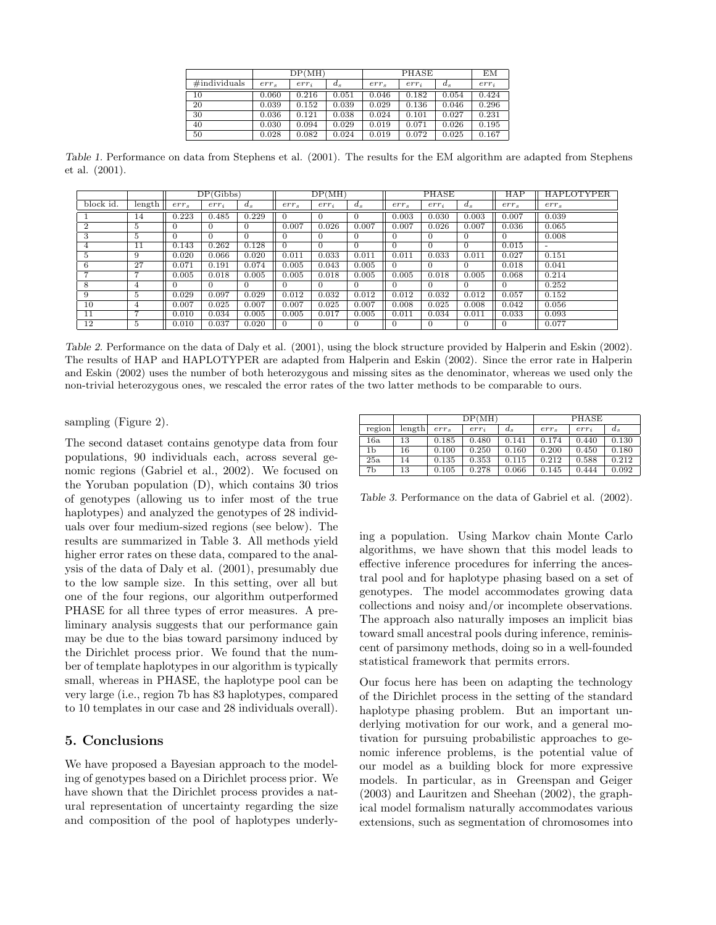|                  |         | DP(MH)  |       |           | ΕM      |       |         |
|------------------|---------|---------|-------|-----------|---------|-------|---------|
| $\#$ individuals | $err_s$ | $err_i$ | $d_s$ | $err_{s}$ | $err_i$ | $d_s$ | $err_i$ |
| 10               | 0.060   | 0.216   | 0.051 | 0.046     | 0.182   | 0.054 | 0.424   |
| 20               | 0.039   | 0.152   | 0.039 | 0.029     | 0.136   | 0.046 | 0.296   |
| 30               | 0.036   | 0.121   | 0.038 | 0.024     | 0.101   | 0.027 | 0.231   |
| 40               | 0.030   | 0.094   | 0.029 | 0.019     | 0.071   | 0.026 | 0.195   |
| 50               | 0.028   | 0.082   | 0.024 | 0.019     | 0.072   | 0.025 | 0.167   |

Table 1. Performance on data from Stephens et al. (2001). The results for the EM algorithm are adapted from Stephens et al. (2001).

|           |                | DP(Gibbs) |          | $\mathrm{DP}(\mathrm{MH})$ |           |         | PHASE    |                  |         | HAP   | <b>HAPLOTYPER</b> |         |
|-----------|----------------|-----------|----------|----------------------------|-----------|---------|----------|------------------|---------|-------|-------------------|---------|
| block id. | length         | $err_{s}$ | $err_i$  | $d_s$                      | $err_{s}$ | $err_i$ | $d_s$    | err <sub>s</sub> | $err_i$ | $d_s$ | $err_s$           | $err_s$ |
|           | 14             | 0.223     | 0.485    | 0.229                      |           |         | $\Omega$ | 0.003            | 0.030   | 0.003 | 0.007             | 0.039   |
|           | 5              | $\Omega$  | $\Omega$ |                            | 0.007     | 0.026   | 0.007    | 0.007            | 0.026   | 0.007 | 0.036             | 0.065   |
| 3         | 5              | $\Omega$  | $\Omega$ |                            |           |         | $\Omega$ |                  |         |       |                   | 0.008   |
|           |                | 0.143     | 0.262    | 0.128                      |           |         | $\Omega$ |                  |         |       | 0.015             | -       |
| 5         | 9              | 0.020     | 0.066    | 0.020                      | 0.011     | 0.033   | 0.011    | 0.011            | 0.033   | 0.011 | 0.027             | 0.151   |
| 6         | 27             | 0.071     | 0.191    | 0.074                      | 0.005     | 0.043   | 0.005    | $\Omega$         |         | 0     | 0.018             | 0.041   |
|           |                | 0.005     | 0.018    | 0.005                      | 0.005     | 0.018   | 0.005    | 0.005            | 0.018   | 0.005 | 0.068             | 0.214   |
| 8         | 4              | $\Omega$  | $\Omega$ |                            |           |         | $\Omega$ |                  |         |       |                   | 0.252   |
| 9         | 5              | 0.029     | 0.097    | 0.029                      | 0.012     | 0.032   | 0.012    | 0.012            | 0.032   | 0.012 | 0.057             | 0.152   |
| 10        | $\overline{4}$ | 0.007     | 0.025    | 0.007                      | 0.007     | 0.025   | 0.007    | 0.008            | 0.025   | 0.008 | 0.042             | 0.056   |
| 11        |                | 0.010     | 0.034    | 0.005                      | 0.005     | 0.017   | 0.005    | 0.011            | 0.034   | 0.011 | 0.033             | 0.093   |
| 12        | 5              | 0.010     | 0.037    | 0.020                      |           |         | $\Omega$ |                  |         |       |                   | 0.077   |

Table 2. Performance on the data of Daly et al. (2001), using the block structure provided by Halperin and Eskin (2002). The results of HAP and HAPLOTYPER are adapted from Halperin and Eskin (2002). Since the error rate in Halperin and Eskin (2002) uses the number of both heterozygous and missing sites as the denominator, whereas we used only the non-trivial heterozygous ones, we rescaled the error rates of the two latter methods to be comparable to ours.

sampling (Figure 2).

The second dataset contains genotype data from four populations, 90 individuals each, across several genomic regions (Gabriel et al., 2002). We focused on the Yoruban population (D), which contains 30 trios of genotypes (allowing us to infer most of the true haplotypes) and analyzed the genotypes of 28 individuals over four medium-sized regions (see below). The results are summarized in Table 3. All methods yield higher error rates on these data, compared to the analysis of the data of Daly et al. (2001), presumably due to the low sample size. In this setting, over all but one of the four regions, our algorithm outperformed PHASE for all three types of error measures. A preliminary analysis suggests that our performance gain may be due to the bias toward parsimony induced by the Dirichlet process prior. We found that the number of template haplotypes in our algorithm is typically small, whereas in PHASE, the haplotype pool can be very large (i.e., region 7b has 83 haplotypes, compared to 10 templates in our case and 28 individuals overall).

# 5. Conclusions

We have proposed a Bayesian approach to the modeling of genotypes based on a Dirichlet process prior. We have shown that the Dirichlet process provides a natural representation of uncertainty regarding the size and composition of the pool of haplotypes underly-

|        |        |           | DP(MH)  |       | <b>PHASE</b> |         |         |  |
|--------|--------|-----------|---------|-------|--------------|---------|---------|--|
| region | length | $err_{s}$ | $err_i$ | $a_s$ | $err_{s}$    | $err_i$ | $a_{s}$ |  |
| 16a    | 13     | 0.185     | 0.480   | 0.141 | 0.174        | 0.440   | 0.130   |  |
| 1b     | 16     | 0.100     | 0.250   | 0.160 | 0.200        | 0.450   | 0.180   |  |
| 25a    | 14     | 0.135     | 0.353   | 0.115 | 0.212        | 0.588   | 0.212   |  |
| 7b     | 13     | 0.105     | 0.278   | 0.066 | 0.145        | 0.444   | 0.092   |  |

Table 3. Performance on the data of Gabriel et al. (2002).

ing a population. Using Markov chain Monte Carlo algorithms, we have shown that this model leads to effective inference procedures for inferring the ancestral pool and for haplotype phasing based on a set of genotypes. The model accommodates growing data collections and noisy and/or incomplete observations. The approach also naturally imposes an implicit bias toward small ancestral pools during inference, reminiscent of parsimony methods, doing so in a well-founded statistical framework that permits errors.

Our focus here has been on adapting the technology of the Dirichlet process in the setting of the standard haplotype phasing problem. But an important underlying motivation for our work, and a general motivation for pursuing probabilistic approaches to genomic inference problems, is the potential value of our model as a building block for more expressive models. In particular, as in Greenspan and Geiger (2003) and Lauritzen and Sheehan (2002), the graphical model formalism naturally accommodates various extensions, such as segmentation of chromosomes into